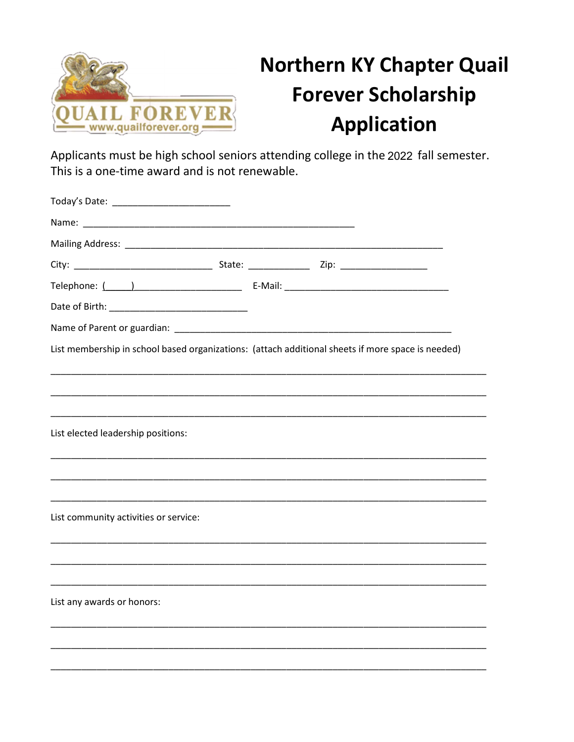

## **Northern KY Chapter Quail Forever Scholarship Application**

Applicants must be high school seniors attending college in the 2022 fall semester. This is a one-time award and is not renewable.

|                                       | Telephone: (1999) 2010 1999 [2010] E-Mail: 2020 [2010] 2020 [2010] 2020 [2010] 2020 [2010] 2020 [2010] 2020 [20 |
|---------------------------------------|-----------------------------------------------------------------------------------------------------------------|
|                                       |                                                                                                                 |
|                                       |                                                                                                                 |
|                                       | List membership in school based organizations: (attach additional sheets if more space is needed)               |
|                                       |                                                                                                                 |
|                                       |                                                                                                                 |
|                                       |                                                                                                                 |
| List elected leadership positions:    |                                                                                                                 |
|                                       |                                                                                                                 |
|                                       |                                                                                                                 |
|                                       |                                                                                                                 |
| List community activities or service: |                                                                                                                 |
|                                       |                                                                                                                 |
|                                       |                                                                                                                 |
|                                       |                                                                                                                 |
| List any awards or honors:            |                                                                                                                 |
|                                       |                                                                                                                 |
|                                       |                                                                                                                 |
|                                       |                                                                                                                 |
|                                       |                                                                                                                 |